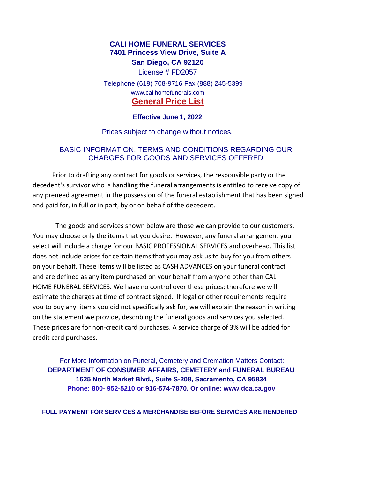# **CALI HOME FUNERAL SERVICES 7401 Princess View Drive, Suite A San Diego, CA 92120** License # FD2057 Telephone (619) 708-9716 Fax (888) 245-5399 www.calihomefunerals.com

## **General Price List**

#### **Effective June 1, 2022**

Prices subject to change without notices.

### BASIC INFORMATION, TERMS AND CONDITIONS REGARDING OUR CHARGES FOR GOODS AND SERVICES OFFERED

 Prior to drafting any contract for goods or services, the responsible party or the decedent's survivor who is handling the funeral arrangements is entitled to receive copy of any preneed agreement in the possession of the funeral establishment that has been signed and paid for, in full or in part, by or on behalf of the decedent.

 The goods and services shown below are those we can provide to our customers. You may choose only the items that you desire. However, any funeral arrangement you select will include a charge for our BASIC PROFESSIONAL SERVICES and overhead. This list does not include prices for certain items that you may ask us to buy for you from others on your behalf. These items will be listed as CASH ADVANCES on your funeral contract and are defined as any item purchased on your behalf from anyone other than CALI HOME FUNERAL SERVICES. We have no control over these prices; therefore we will estimate the charges at time of contract signed. If legal or other requirements require you to buy any items you did not specifically ask for, we will explain the reason in writing on the statement we provide, describing the funeral goods and services you selected. These prices are for non-credit card purchases. A service charge of 3% will be added for credit card purchases.

For More Information on Funeral, Cemetery and Cremation Matters Contact: **DEPARTMENT OF CONSUMER AFFAIRS, CEMETERY and FUNERAL BUREAU 1625 North Market Blvd., Suite S-208, Sacramento, CA 95834 Phone: 800- 952-5210 or 916-574-7870. Or online: www.dca.ca.gov**

#### **FULL PAYMENT FOR SERVICES & MERCHANDISE BEFORE SERVICES ARE RENDERED**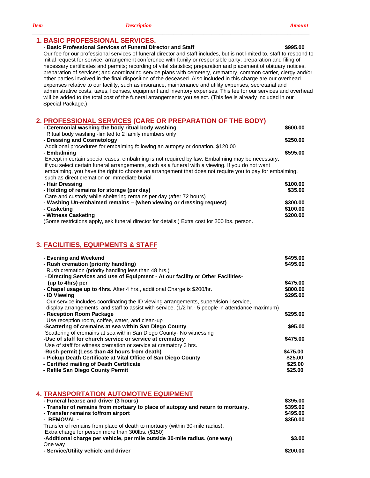*Item Description Amount*

**1. BASIC PROFESSIONAL SERVICES.**

| - Basic Professional Services of Funeral Director and Staff                                                                                                                                                                                                                                                                                                                                                                                                                                                                                                                                                                                                                                                                                                                                                                                                                                                                                                              | \$995.00             |
|--------------------------------------------------------------------------------------------------------------------------------------------------------------------------------------------------------------------------------------------------------------------------------------------------------------------------------------------------------------------------------------------------------------------------------------------------------------------------------------------------------------------------------------------------------------------------------------------------------------------------------------------------------------------------------------------------------------------------------------------------------------------------------------------------------------------------------------------------------------------------------------------------------------------------------------------------------------------------|----------------------|
| Our fee for our professional services of funeral director and staff includes, but is not limited to, staff to respond to<br>initial request for service; arrangement conference with family or responsible party; preparation and filing of<br>necessary certificates and permits; recording of vital statistics; preparation and placement of obituary notices.<br>preparation of services; and coordinating service plans with cemetery, crematory, common carrier, clergy and/or<br>other parties involved in the final disposition of the deceased. Also included in this charge are our overhead<br>expenses relative to our facility, such as insurance, maintenance and utility expenses, secretarial and<br>administrative costs, taxes, licenses, equipment and inventory expenses. This fee for our services and overhead<br>will be added to the total cost of the funeral arrangements you select. (This fee is already included in our<br>Special Package.) |                      |
| 2. PROFESSIONAL SERVICES (CARE OR PREPARATION OF THE BODY)                                                                                                                                                                                                                                                                                                                                                                                                                                                                                                                                                                                                                                                                                                                                                                                                                                                                                                               |                      |
| - Ceremonial washing the body ritual body washing<br>Ritual body washing -limited to 2 family members only                                                                                                                                                                                                                                                                                                                                                                                                                                                                                                                                                                                                                                                                                                                                                                                                                                                               | \$600.00             |
| - Dressing and Cosmetology                                                                                                                                                                                                                                                                                                                                                                                                                                                                                                                                                                                                                                                                                                                                                                                                                                                                                                                                               | \$250.00             |
| Additional procedures for embalming following an autopsy or donation. \$120.00                                                                                                                                                                                                                                                                                                                                                                                                                                                                                                                                                                                                                                                                                                                                                                                                                                                                                           | \$595.00             |
| - Embalming<br>Except in certain special cases, embalming is not required by law. Embalming may be necessary,<br>if you select certain funeral arrangements, such as a funeral with a viewing. If you do not want<br>embalming, you have the right to choose an arrangement that does not require you to pay for embalming,<br>such as direct cremation or immediate burial.                                                                                                                                                                                                                                                                                                                                                                                                                                                                                                                                                                                             |                      |
| - Hair Dressing                                                                                                                                                                                                                                                                                                                                                                                                                                                                                                                                                                                                                                                                                                                                                                                                                                                                                                                                                          | \$100.00             |
| - Holding of remains for storage (per day)                                                                                                                                                                                                                                                                                                                                                                                                                                                                                                                                                                                                                                                                                                                                                                                                                                                                                                                               | \$35.00              |
| Care and custody while sheltering remains per day (after 72 hours)                                                                                                                                                                                                                                                                                                                                                                                                                                                                                                                                                                                                                                                                                                                                                                                                                                                                                                       |                      |
| - Washing Un-embalmed remains - (when viewing or dressing request)<br>- Casketing                                                                                                                                                                                                                                                                                                                                                                                                                                                                                                                                                                                                                                                                                                                                                                                                                                                                                        | \$300.00<br>\$100.00 |
| - Witness Casketing                                                                                                                                                                                                                                                                                                                                                                                                                                                                                                                                                                                                                                                                                                                                                                                                                                                                                                                                                      | \$200.00             |
| (Some restrictions apply, ask funeral director for details.) Extra cost for 200 lbs. person.                                                                                                                                                                                                                                                                                                                                                                                                                                                                                                                                                                                                                                                                                                                                                                                                                                                                             |                      |
| <b>3. FACILITIES, EQUIPMENTS &amp; STAFF</b>                                                                                                                                                                                                                                                                                                                                                                                                                                                                                                                                                                                                                                                                                                                                                                                                                                                                                                                             |                      |
| - Evening and Weekend                                                                                                                                                                                                                                                                                                                                                                                                                                                                                                                                                                                                                                                                                                                                                                                                                                                                                                                                                    | \$495.00             |
| - Rush cremation (priority handling)                                                                                                                                                                                                                                                                                                                                                                                                                                                                                                                                                                                                                                                                                                                                                                                                                                                                                                                                     | \$495.00             |
| Rush cremation (priority handling less than 48 hrs.)                                                                                                                                                                                                                                                                                                                                                                                                                                                                                                                                                                                                                                                                                                                                                                                                                                                                                                                     |                      |
| - Directing Services and use of Equipment - At our facility or Other Facilities-<br>(up to 4hrs) per                                                                                                                                                                                                                                                                                                                                                                                                                                                                                                                                                                                                                                                                                                                                                                                                                                                                     | \$475.00             |

*\_\_\_\_\_\_\_\_\_\_\_\_\_\_\_\_\_\_\_\_\_\_\_\_\_\_\_\_\_\_\_\_\_\_\_\_\_\_\_\_\_\_\_\_\_\_\_\_\_\_\_\_\_\_\_\_\_\_\_\_\_\_\_\_\_\_\_\_\_\_\_\_\_\_\_\_\_\_\_\_\_\_\_\_\_\_\_\_\_\_\_\_\_\_\_\_\_\_\_\_\_\_*

| - Rush cremation (priority handling)                                                              | \$495.00 |
|---------------------------------------------------------------------------------------------------|----------|
| Rush cremation (priority handling less than 48 hrs.)                                              |          |
| - Directing Services and use of Equipment - At our facility or Other Facilities-                  |          |
| (up to 4hrs) per                                                                                  | \$475.00 |
| - Chapel usage up to 4hrs. After 4 hrs., additional Charge is \$200/hr.                           | \$800.00 |
| - ID Viewing                                                                                      | \$295.00 |
| Our service includes coordinating the ID viewing arrangements, supervision I service,             |          |
| display arrangements, and staff to assist with service. (1/2 hr.- 5 people in attendance maximum) |          |
| - Reception Room Package                                                                          | \$295.00 |
| Use reception room, coffee, water, and clean-up                                                   |          |
| -Scattering of cremains at sea within San Diego County                                            | \$95.00  |
| Scattering of cremains at sea within San Diego County - No witnessing                             |          |
| -Use of staff for church service or service at crematory                                          | \$475.00 |
| Use of staff for witness cremation or service at crematory 3 hrs.                                 |          |
| -Rush permit (Less than 48 hours from death)                                                      | \$475.00 |
| - Pickup Death Certificate at Vital Office of San Diego County                                    | \$25.00  |
| - Certified mailing of Death Certificate                                                          | \$25.00  |
| - Refile San Diego County Permit                                                                  | \$25.00  |

### **4. TRANSPORTATION AUTOMOTIVE EQUIPMENT**

| - Funeral hearse and driver (3 hours)                                           | \$395.00 |
|---------------------------------------------------------------------------------|----------|
| - Transfer of remains from mortuary to place of autopsy and return to mortuary. | \$395.00 |
| - Transfer remains to/from airport                                              | \$495.00 |
| - REMOVAL-                                                                      | \$350.00 |
| Transfer of remains from place of death to mortuary (within 30-mile radius).    |          |
| Extra charge for person more than 300lbs. (\$150)                               |          |
| -Additional charge per vehicle, per mile outside 30-mile radius. (one way)      | \$3.00   |
| One way                                                                         |          |
| - Service/Utility vehicle and driver                                            | \$200.00 |